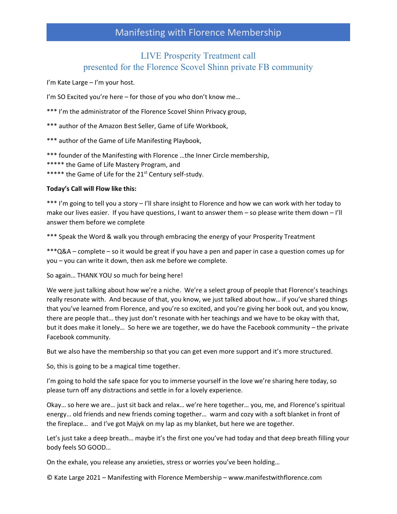#### LIVE Prosperity Treatment call presented for the Florence Scovel Shinn private FB community

I'm Kate Large – I'm your host.

I'm SO Excited you're here – for those of you who don't know me...

\*\*\* I'm the administrator of the Florence Scovel Shinn Privacy group,

\*\*\* author of the Amazon Best Seller, Game of Life Workbook,

\*\*\* author of the Game of Life Manifesting Playbook,

\*\*\* founder of the Manifesting with Florence …the Inner Circle membership,

\*\*\*\*\* the Game of Life Mastery Program, and

\*\*\*\*\* the Game of Life for the 21<sup>st</sup> Century self-study.

#### **Today's Call will Flow like this:**

\*\*\* I'm going to tell you a story – I'll share insight to Florence and how we can work with her today to make our lives easier. If you have questions, I want to answer them  $-$  so please write them down  $- I'$ ll answer them before we complete

\*\*\* Speak the Word & walk you through embracing the energy of your Prosperity Treatment

\*\*\*Q&A – complete – so it would be great if you have a pen and paper in case a question comes up for you – you can write it down, then ask me before we complete.

So again… THANK YOU so much for being here!

We were just talking about how we're a niche. We're a select group of people that Florence's teachings really resonate with. And because of that, you know, we just talked about how… if you've shared things that you've learned from Florence, and you're so excited, and you're giving her book out, and you know, there are people that… they just don't resonate with her teachings and we have to be okay with that, but it does make it lonely… So here we are together, we do have the Facebook community – the private Facebook community.

But we also have the membership so that you can get even more support and it's more structured.

So, this is going to be a magical time together.

I'm going to hold the safe space for you to immerse yourself in the love we're sharing here today, so please turn off any distractions and settle in for a lovely experience.

Okay… so here we are… just sit back and relax… we're here together… you, me, and Florence's spiritual energy… old friends and new friends coming together… warm and cozy with a soft blanket in front of the fireplace… and I've got Majyk on my lap as my blanket, but here we are together.

Let's just take a deep breath… maybe it's the first one you've had today and that deep breath filling your body feels SO GOOD…

On the exhale, you release any anxieties, stress or worries you've been holding…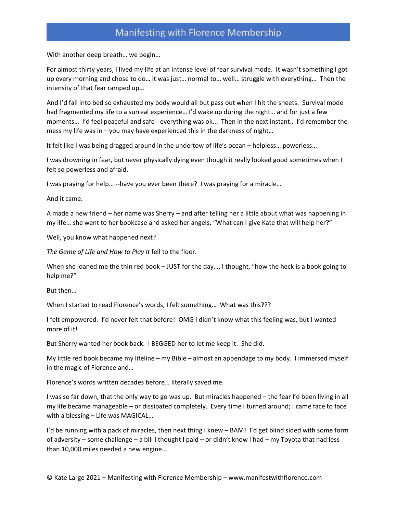With another deep breath… we begin…

For almost thirty years, I lived my life at an intense level of fear survival mode. It wasn't something I got up every morning and chose to do… it was just… normal to… well… struggle with everything… Then the intensity of that fear ramped up…

And I'd fall into bed so exhausted my body would all but pass out when I hit the sheets. Survival mode had fragmented my life to a surreal experience… I'd wake up during the night… and for just a few moments… I'd feel peaceful and safe - everything was ok... Then in the next instant… I'd remember the mess my life was in – you may have experienced this in the darkness of night…

It felt like I was being dragged around in the undertow of life's ocean – helpless… powerless…

I was drowning in fear, but never physically dying even though it really looked good sometimes when I felt so powerless and afraid.

I was praying for help… --have you ever been there? I was praying for a miracle…

And it came.

A made a new friend – her name was Sherry – and after telling her a little about what was happening in my life… she went to her bookcase and asked her angels, "What can I give Kate that will help her?"

Well, you know what happened next?

*The Game of Life and How to Play It* fell to the floor.

When she loaned me the thin red book – JUST for the day..., I thought, "how the heck is a book going to help me?"

But then…

When I started to read Florence's words, I felt something… What was this???

I felt empowered. I'd never felt that before! OMG I didn't know what this feeling was, but I wanted more of it!

But Sherry wanted her book back. I BEGGED her to let me keep it. She did.

My little red book became my lifeline – my Bible – almost an appendage to my body. I immersed myself in the magic of Florence and…

Florence's words written decades before… literally saved me.

I was so far down, that the only way to go was up. But miracles happened – the fear I'd been living in all my life became manageable – or dissipated completely. Every time I turned around; I came face to face with a blessing – Life was MAGICAL…

I'd be running with a pack of miracles, then next thing I knew – BAM! I'd get blind sided with some form of adversity – some challenge – a bill I thought I paid – or didn't know I had – my Toyota that had less than 10,000 miles needed a new engine...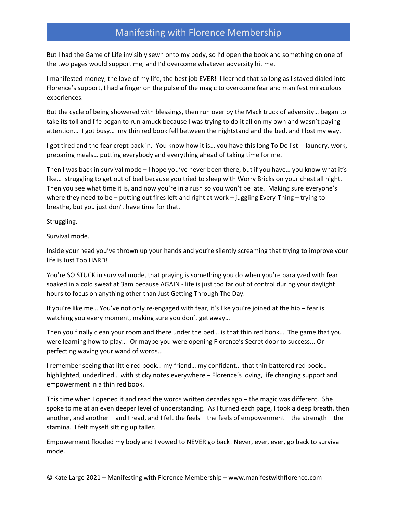But I had the Game of Life invisibly sewn onto my body, so I'd open the book and something on one of the two pages would support me, and I'd overcome whatever adversity hit me.

I manifested money, the love of my life, the best job EVER! I learned that so long as I stayed dialed into Florence's support, I had a finger on the pulse of the magic to overcome fear and manifest miraculous experiences.

But the cycle of being showered with blessings, then run over by the Mack truck of adversity… began to take its toll and life began to run amuck because I was trying to do it all on my own and wasn't paying attention… I got busy… my thin red book fell between the nightstand and the bed, and I lost my way.

I got tired and the fear crept back in. You know how it is… you have this long To Do list -- laundry, work, preparing meals… putting everybody and everything ahead of taking time for me.

Then I was back in survival mode – I hope you've never been there, but if you have… you know what it's like… struggling to get out of bed because you tried to sleep with Worry Bricks on your chest all night. Then you see what time it is, and now you're in a rush so you won't be late. Making sure everyone's where they need to be – putting out fires left and right at work – juggling Every-Thing – trying to breathe, but you just don't have time for that.

Struggling.

Survival mode.

Inside your head you've thrown up your hands and you're silently screaming that trying to improve your life is Just Too HARD!

You're SO STUCK in survival mode, that praying is something you do when you're paralyzed with fear soaked in a cold sweat at 3am because AGAIN - life is just too far out of control during your daylight hours to focus on anything other than Just Getting Through The Day.

If you're like me… You've not only re-engaged with fear, it's like you're joined at the hip – fear is watching you every moment, making sure you don't get away…

Then you finally clean your room and there under the bed… is that thin red book… The game that you were learning how to play… Or maybe you were opening Florence's Secret door to success... Or perfecting waving your wand of words…

I remember seeing that little red book… my friend… my confidant… that thin battered red book… highlighted, underlined… with sticky notes everywhere – Florence's loving, life changing support and empowerment in a thin red book.

This time when I opened it and read the words written decades ago – the magic was different. She spoke to me at an even deeper level of understanding. As I turned each page, I took a deep breath, then another, and another – and I read, and I felt the feels – the feels of empowerment – the strength – the stamina. I felt myself sitting up taller.

Empowerment flooded my body and I vowed to NEVER go back! Never, ever, ever, go back to survival mode.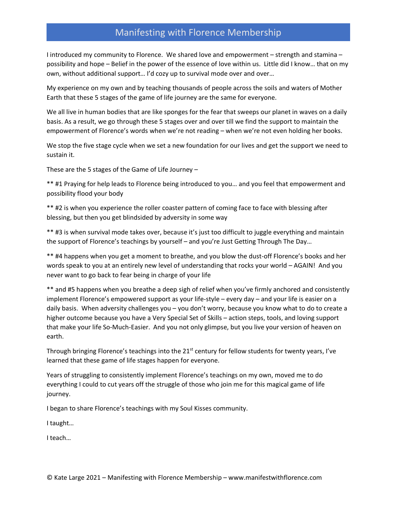I introduced my community to Florence. We shared love and empowerment – strength and stamina – possibility and hope – Belief in the power of the essence of love within us. Little did I know… that on my own, without additional support… I'd cozy up to survival mode over and over…

My experience on my own and by teaching thousands of people across the soils and waters of Mother Earth that these 5 stages of the game of life journey are the same for everyone.

We all live in human bodies that are like sponges for the fear that sweeps our planet in waves on a daily basis. As a result, we go through these 5 stages over and over till we find the support to maintain the empowerment of Florence's words when we're not reading – when we're not even holding her books.

We stop the five stage cycle when we set a new foundation for our lives and get the support we need to sustain it.

These are the 5 stages of the Game of Life Journey –

\*\* #1 Praying for help leads to Florence being introduced to you… and you feel that empowerment and possibility flood your body

\*\* #2 is when you experience the roller coaster pattern of coming face to face with blessing after blessing, but then you get blindsided by adversity in some way

\*\* #3 is when survival mode takes over, because it's just too difficult to juggle everything and maintain the support of Florence's teachings by yourself – and you're Just Getting Through The Day…

\*\* #4 happens when you get a moment to breathe, and you blow the dust-off Florence's books and her words speak to you at an entirely new level of understanding that rocks your world – AGAIN! And you never want to go back to fear being in charge of your life

\*\* and #5 happens when you breathe a deep sigh of relief when you've firmly anchored and consistently implement Florence's empowered support as your life-style – every day – and your life is easier on a daily basis. When adversity challenges you – you don't worry, because you know what to do to create a higher outcome because you have a Very Special Set of Skills – action steps, tools, and loving support that make your life So-Much-Easier. And you not only glimpse, but you live your version of heaven on earth.

Through bringing Florence's teachings into the 21st century for fellow students for twenty years, I've learned that these game of life stages happen for everyone.

Years of struggling to consistently implement Florence's teachings on my own, moved me to do everything I could to cut years off the struggle of those who join me for this magical game of life journey.

I began to share Florence's teachings with my Soul Kisses community.

I taught…

I teach…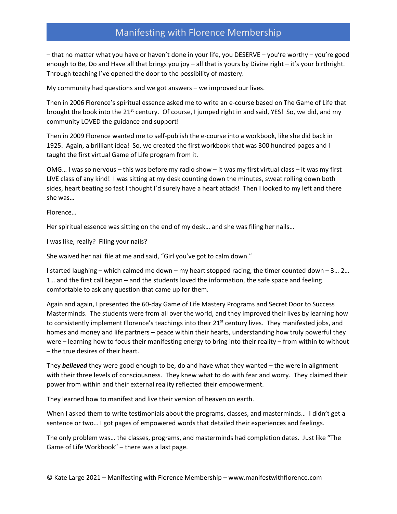– that no matter what you have or haven't done in your life, you DESERVE – you're worthy – you're good enough to Be, Do and Have all that brings you joy – all that is yours by Divine right – it's your birthright. Through teaching I've opened the door to the possibility of mastery.

My community had questions and we got answers – we improved our lives.

Then in 2006 Florence's spiritual essence asked me to write an e-course based on The Game of Life that brought the book into the 21<sup>st</sup> century. Of course, I jumped right in and said, YES! So, we did, and my community LOVED the guidance and support!

Then in 2009 Florence wanted me to self-publish the e-course into a workbook, like she did back in 1925. Again, a brilliant idea! So, we created the first workbook that was 300 hundred pages and I taught the first virtual Game of Life program from it.

OMG… I was so nervous – this was before my radio show – it was my first virtual class – it was my first LIVE class of any kind! I was sitting at my desk counting down the minutes, sweat rolling down both sides, heart beating so fast I thought I'd surely have a heart attack! Then I looked to my left and there she was…

Florence…

Her spiritual essence was sitting on the end of my desk… and she was filing her nails…

I was like, really? Filing your nails?

She waived her nail file at me and said, "Girl you've got to calm down."

I started laughing – which calmed me down – my heart stopped racing, the timer counted down – 3... 2... 1… and the first call began – and the students loved the information, the safe space and feeling comfortable to ask any question that came up for them.

Again and again, I presented the 60-day Game of Life Mastery Programs and Secret Door to Success Masterminds. The students were from all over the world, and they improved their lives by learning how to consistently implement Florence's teachings into their  $21^{st}$  century lives. They manifested jobs, and homes and money and life partners – peace within their hearts, understanding how truly powerful they were – learning how to focus their manifesting energy to bring into their reality – from within to without – the true desires of their heart.

They *believed* they were good enough to be, do and have what they wanted – the were in alignment with their three levels of consciousness. They knew what to do with fear and worry. They claimed their power from within and their external reality reflected their empowerment.

They learned how to manifest and live their version of heaven on earth.

When I asked them to write testimonials about the programs, classes, and masterminds... I didn't get a sentence or two… I got pages of empowered words that detailed their experiences and feelings.

The only problem was… the classes, programs, and masterminds had completion dates. Just like "The Game of Life Workbook" – there was a last page.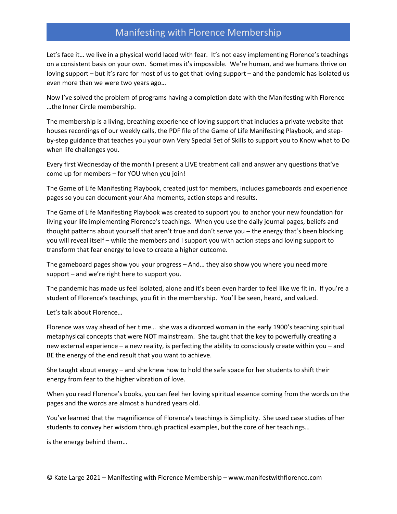Let's face it… we live in a physical world laced with fear. It's not easy implementing Florence's teachings on a consistent basis on your own. Sometimes it's impossible. We're human, and we humans thrive on loving support – but it's rare for most of us to get that loving support – and the pandemic has isolated us even more than we were two years ago…

Now I've solved the problem of programs having a completion date with the Manifesting with Florence …the Inner Circle membership.

The membership is a living, breathing experience of loving support that includes a private website that houses recordings of our weekly calls, the PDF file of the Game of Life Manifesting Playbook, and stepby-step guidance that teaches you your own Very Special Set of Skills to support you to Know what to Do when life challenges you.

Every first Wednesday of the month I present a LIVE treatment call and answer any questions that've come up for members – for YOU when you join!

The Game of Life Manifesting Playbook, created just for members, includes gameboards and experience pages so you can document your Aha moments, action steps and results.

The Game of Life Manifesting Playbook was created to support you to anchor your new foundation for living your life implementing Florence's teachings. When you use the daily journal pages, beliefs and thought patterns about yourself that aren't true and don't serve you – the energy that's been blocking you will reveal itself – while the members and I support you with action steps and loving support to transform that fear energy to love to create a higher outcome.

The gameboard pages show you your progress – And… they also show you where you need more support – and we're right here to support you.

The pandemic has made us feel isolated, alone and it's been even harder to feel like we fit in. If you're a student of Florence's teachings, you fit in the membership. You'll be seen, heard, and valued.

Let's talk about Florence…

Florence was way ahead of her time… she was a divorced woman in the early 1900's teaching spiritual metaphysical concepts that were NOT mainstream. She taught that the key to powerfully creating a new external experience – a new reality, is perfecting the ability to consciously create within you – and BE the energy of the end result that you want to achieve.

She taught about energy – and she knew how to hold the safe space for her students to shift their energy from fear to the higher vibration of love.

When you read Florence's books, you can feel her loving spiritual essence coming from the words on the pages and the words are almost a hundred years old.

You've learned that the magnificence of Florence's teachings is Simplicity. She used case studies of her students to convey her wisdom through practical examples, but the core of her teachings…

is the energy behind them…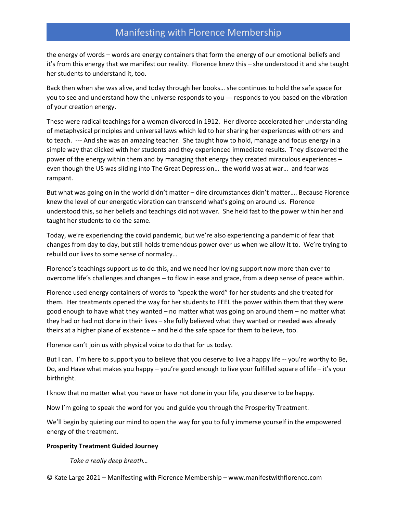the energy of words – words are energy containers that form the energy of our emotional beliefs and it's from this energy that we manifest our reality. Florence knew this – she understood it and she taught her students to understand it, too.

Back then when she was alive, and today through her books… she continues to hold the safe space for you to see and understand how the universe responds to you --- responds to you based on the vibration of your creation energy.

These were radical teachings for a woman divorced in 1912. Her divorce accelerated her understanding of metaphysical principles and universal laws which led to her sharing her experiences with others and to teach. --- And she was an amazing teacher. She taught how to hold, manage and focus energy in a simple way that clicked with her students and they experienced immediate results. They discovered the power of the energy within them and by managing that energy they created miraculous experiences – even though the US was sliding into The Great Depression… the world was at war… and fear was rampant.

But what was going on in the world didn't matter – dire circumstances didn't matter…. Because Florence knew the level of our energetic vibration can transcend what's going on around us. Florence understood this, so her beliefs and teachings did not waver. She held fast to the power within her and taught her students to do the same.

Today, we're experiencing the covid pandemic, but we're also experiencing a pandemic of fear that changes from day to day, but still holds tremendous power over us when we allow it to. We're trying to rebuild our lives to some sense of normalcy…

Florence's teachings support us to do this, and we need her loving support now more than ever to overcome life's challenges and changes – to flow in ease and grace, from a deep sense of peace within.

Florence used energy containers of words to "speak the word" for her students and she treated for them. Her treatments opened the way for her students to FEEL the power within them that they were good enough to have what they wanted – no matter what was going on around them – no matter what they had or had not done in their lives – she fully believed what they wanted or needed was already theirs at a higher plane of existence -- and held the safe space for them to believe, too.

Florence can't join us with physical voice to do that for us today.

But I can. I'm here to support you to believe that you deserve to live a happy life -- you're worthy to Be, Do, and Have what makes you happy – you're good enough to live your fulfilled square of life – it's your birthright.

I know that no matter what you have or have not done in your life, you deserve to be happy.

Now I'm going to speak the word for you and guide you through the Prosperity Treatment.

We'll begin by quieting our mind to open the way for you to fully immerse yourself in the empowered energy of the treatment.

#### **Prosperity Treatment Guided Journey**

*Take a really deep breath…*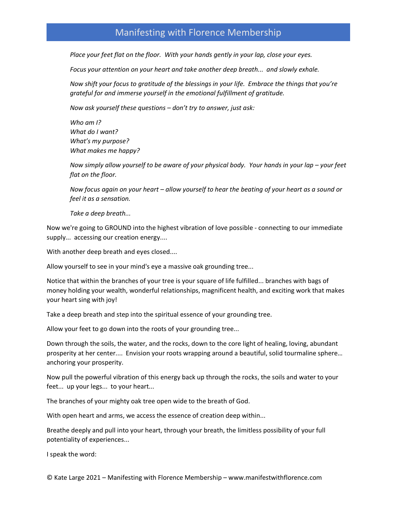*Place your feet flat on the floor. With your hands gently in your lap, close your eyes.*

*Focus your attention on your heart and take another deep breath... and slowly exhale.* 

*Now shift your focus to gratitude of the blessings in your life. Embrace the things that you're grateful for and immerse yourself in the emotional fulfillment of gratitude.* 

*Now ask yourself these questions – don't try to answer, just ask:*

*Who am I? What do I want? What's my purpose? What makes me happy?*

*Now simply allow yourself to be aware of your physical body. Your hands in your lap – your feet flat on the floor.*

*Now focus again on your heart – allow yourself to hear the beating of your heart as a sound or feel it as a sensation.*

*Take a deep breath...*

Now we're going to GROUND into the highest vibration of love possible - connecting to our immediate supply... accessing our creation energy....

With another deep breath and eyes closed....

Allow yourself to see in your mind's eye a massive oak grounding tree...

Notice that within the branches of your tree is your square of life fulfilled... branches with bags of money holding your wealth, wonderful relationships, magnificent health, and exciting work that makes your heart sing with joy!

Take a deep breath and step into the spiritual essence of your grounding tree.

Allow your feet to go down into the roots of your grounding tree...

Down through the soils, the water, and the rocks, down to the core light of healing, loving, abundant prosperity at her center.... Envision your roots wrapping around a beautiful, solid tourmaline sphere… anchoring your prosperity.

Now pull the powerful vibration of this energy back up through the rocks, the soils and water to your feet... up your legs... to your heart...

The branches of your mighty oak tree open wide to the breath of God.

With open heart and arms, we access the essence of creation deep within...

Breathe deeply and pull into your heart, through your breath, the limitless possibility of your full potentiality of experiences...

I speak the word: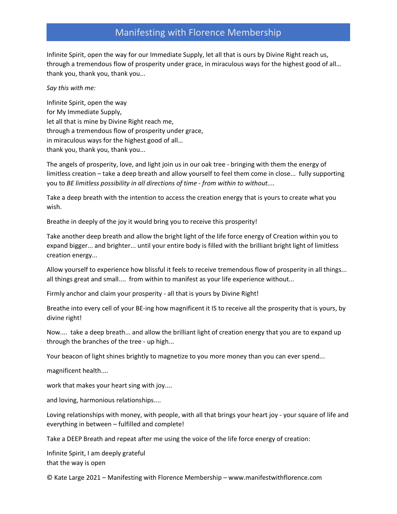Infinite Spirit, open the way for our Immediate Supply, let all that is ours by Divine Right reach us, through a tremendous flow of prosperity under grace, in miraculous ways for the highest good of all… thank you, thank you, thank you...

#### *Say this with me:*

Infinite Spirit, open the way for My Immediate Supply, let all that is mine by Divine Right reach me, through a tremendous flow of prosperity under grace, in miraculous ways for the highest good of all… thank you, thank you, thank you...

The angels of prosperity, love, and light join us in our oak tree - bringing with them the energy of limitless creation – take a deep breath and allow yourself to feel them come in close... fully supporting you to *BE limitless possibility in all directions of time - from within to without....*

Take a deep breath with the intention to access the creation energy that is yours to create what you wish.

Breathe in deeply of the joy it would bring you to receive this prosperity!

Take another deep breath and allow the bright light of the life force energy of Creation within you to expand bigger... and brighter... until your entire body is filled with the brilliant bright light of limitless creation energy...

Allow yourself to experience how blissful it feels to receive tremendous flow of prosperity in all things... all things great and small.... from within to manifest as your life experience without...

Firmly anchor and claim your prosperity - all that is yours by Divine Right!

Breathe into every cell of your BE-ing how magnificent it IS to receive all the prosperity that is yours, by divine right!

Now.... take a deep breath... and allow the brilliant light of creation energy that you are to expand up through the branches of the tree - up high...

Your beacon of light shines brightly to magnetize to you more money than you can ever spend...

magnificent health....

work that makes your heart sing with joy....

and loving, harmonious relationships....

Loving relationships with money, with people, with all that brings your heart joy - your square of life and everything in between – fulfilled and complete!

Take a DEEP Breath and repeat after me using the voice of the life force energy of creation:

Infinite Spirit, I am deeply grateful that the way is open